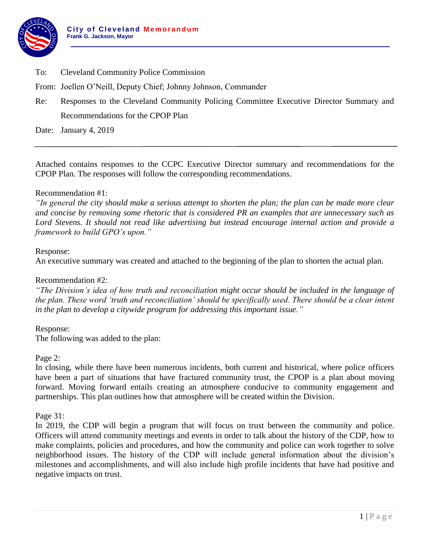

- To: Cleveland Community Police Commission
- From: Joellen O'Neill, Deputy Chief; Johnny Johnson, Commander
- Re: Responses to the Cleveland Community Policing Committee Executive Director Summary and Recommendations for the CPOP Plan

Date: January 4, 2019

Attached contains responses to the CCPC Executive Director summary and recommendations for the CPOP Plan. The responses will follow the corresponding recommendations.

## Recommendation #1:

*"In general the city should make a serious attempt to shorten the plan; the plan can be made more clear and concise by removing some rhetoric that is considered PR an examples that are unnecessary such as Lord Stevens. It should not read like advertising but instead encourage internal action and provide a framework to build GPO's upon."*

### Response:

An executive summary was created and attached to the beginning of the plan to shorten the actual plan.

### Recommendation #2:

*"The Division's idea of how truth and reconciliation might occur should be included in the language of the plan. These word 'truth and reconciliation' should be specifically used. There should be a clear intent in the plan to develop a citywide program for addressing this important issue."*

## Response:

The following was added to the plan:

#### Page 2:

In closing, while there have been numerous incidents, both current and historical, where police officers have been a part of situations that have fractured community trust, the CPOP is a plan about moving forward. Moving forward entails creating an atmosphere conducive to community engagement and partnerships. This plan outlines how that atmosphere will be created within the Division.

Page 31:

In 2019, the CDP will begin a program that will focus on trust between the community and police. Officers will attend community meetings and events in order to talk about the history of the CDP, how to make complaints, policies and procedures, and how the community and police can work together to solve neighborhood issues. The history of the CDP will include general information about the division's milestones and accomplishments, and will also include high profile incidents that have had positive and negative impacts on trust.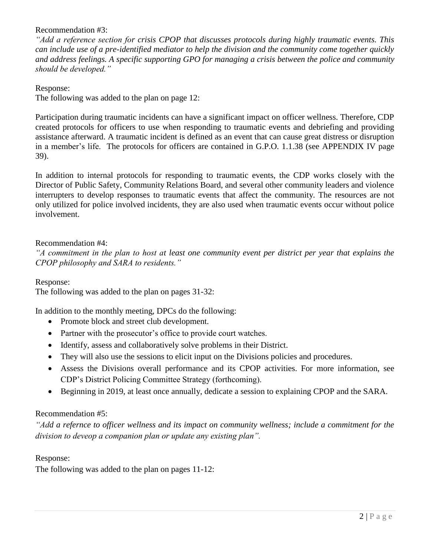Recommendation #3:

*"Add a reference section for crisis CPOP that discusses protocols during highly traumatic events. This can include use of a pre-identified mediator to help the division and the community come together quickly and address feelings. A specific supporting GPO for managing a crisis between the police and community should be developed."*

Response:

The following was added to the plan on page 12:

Participation during traumatic incidents can have a significant impact on officer wellness. Therefore, CDP created protocols for officers to use when responding to traumatic events and debriefing and providing assistance afterward. A traumatic incident is defined as an event that can cause great distress or disruption in a member's life. The protocols for officers are contained in G.P.O. 1.1.38 (see APPENDIX IV page 39).

In addition to internal protocols for responding to traumatic events, the CDP works closely with the Director of Public Safety, Community Relations Board, and several other community leaders and violence interrupters to develop responses to traumatic events that affect the community. The resources are not only utilized for police involved incidents, they are also used when traumatic events occur without police involvement.

## Recommendation #4:

*"A commitment in the plan to host at least one community event per district per year that explains the CPOP philosophy and SARA to residents."*

Response:

The following was added to the plan on pages 31-32:

In addition to the monthly meeting, DPCs do the following:

- Promote block and street club development.
- Partner with the prosecutor's office to provide court watches.
- Identify, assess and collaboratively solve problems in their District.
- They will also use the sessions to elicit input on the Divisions policies and procedures.
- Assess the Divisions overall performance and its CPOP activities. For more information, see CDP's District Policing Committee Strategy (forthcoming).
- Beginning in 2019, at least once annually, dedicate a session to explaining CPOP and the SARA.

# Recommendation #5:

*"Add a refernce to officer wellness and its impact on community wellness; include a commitment for the division to deveop a companion plan or update any existing plan".*

Response:

The following was added to the plan on pages 11-12: